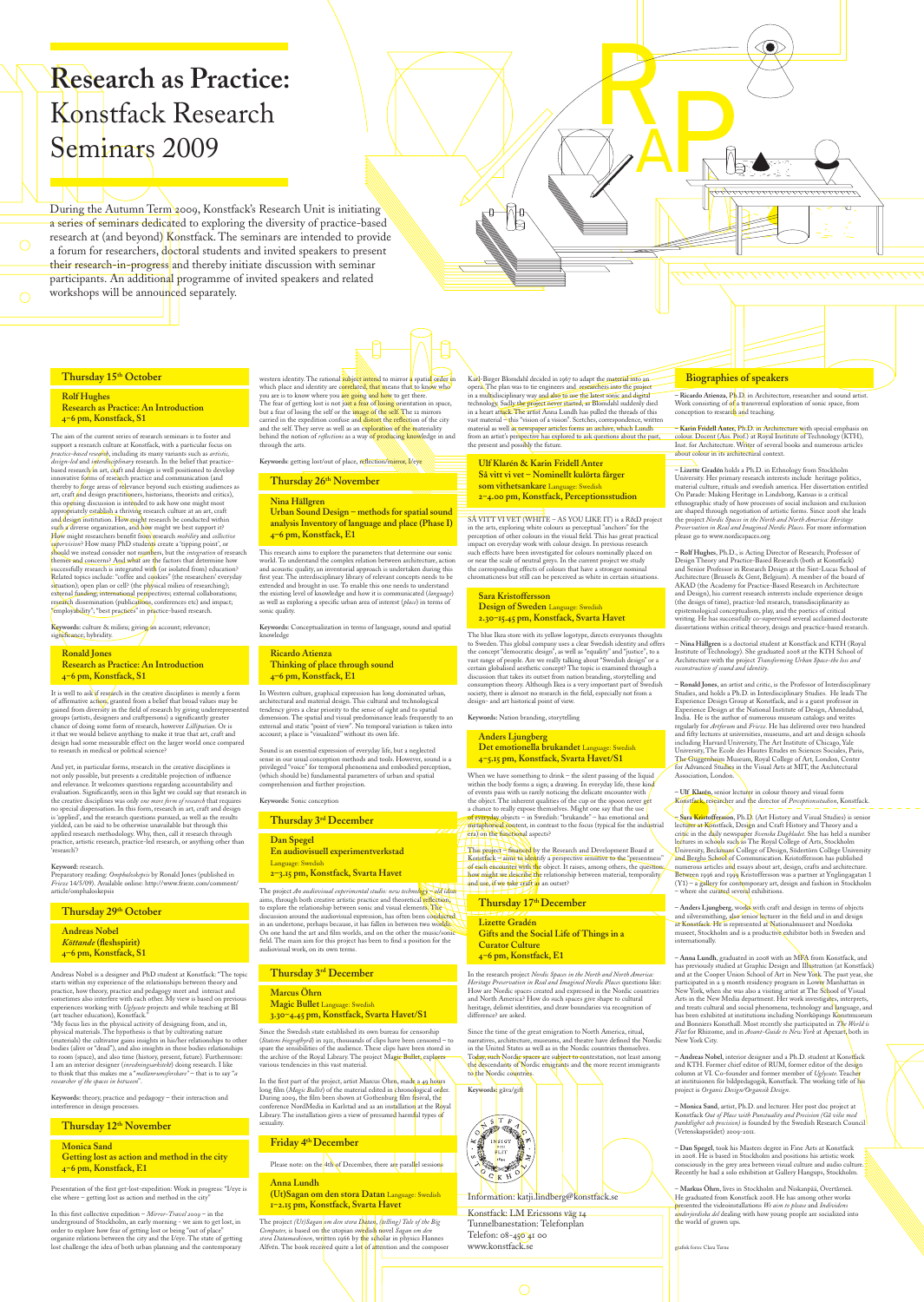The aim of the current series of research seminars is to foster and support a research culture at Konstfack, with a particular focus on *practice-based research*, including its many variants such as *artistic, design-led* and *interdisciplinary* research. In the belief that practicebased research in art, craft and design is well positioned to develop innovative forms of research practice and communication (and thereby to forge areas of relevance beyond such existing audiences as art, craft and design practitioners, historians, theorists and critics), this opening discussion is intended to ask how one might most appropriately establish a thriving research culture at an art, craft and design institution. How might research be conducted within such a diverse organization, and how might we best support it? How might researchers benefit from research *mobility* and *collective supervision*? How many PhD students create a 'tipping point', or should we instead consider not numbers, but the *integration* of research themes and concerns? And what are the factors that determine how successfully research is integrated with (or isolated from) education? Related topics include: "coffee and cookies" (the researchers' everyday situation); open plan or cell? (the physical milieu of researching); external funding; international perspectives; external collaborations; research dissemination (publications, conferences etc) and impact; "employability"; "best practices" in practice-based research.

Keywords: culture & milieu; giving an account; relevance; significance; hybridity.

# **Research as Practice:** Konstfack Research Seminars 2009

During the Autumn Term 2009, Konstfack's Research Unit is initiating a series of seminars dedicated to exploring the diversity of practice-based research at (and beyond) Konstfack. The seminars are intended to provide a forum for researchers,  $\frac{d\phi}{d\tau}$  atudents and invited speakers to present their research-in-progress and thereby initiate discussion with seminar participants. An additional programme of invited speakers and related workshops will be announced separately.

# **Thursday 15th October**

#### **Rolf Hughes Research as Practice: An Introduction 4‒6 pm, Konstfack, S1**

It is well to ask if research in the creative disciplines is merely a form of affirmative action, granted from a belief that broad values may be gained from diversity in the field of research by giving underrepresented groups (artists, designers and craftpersons) a significantly greater chance of doing some form of research, however *Lilliputian*. Or is it that we would believe anything to make it true that art, craft and design had some measurable effect on the larger world once compared to research in medical or political science?

**Ronald Jones Research as Practice: An Introduction 4‒6 pm, Konstfack, S1**

western identity. The rational subject intend to mirror a spatial order in which place and identity are correlated, that means that to know who you are is to know where you are going and how to get there. The fear of getting lost is not just a fear of losing orientation in space, but a fear of losing the self or the image of the self. The 12 mirrors carried in the expedition confuse and distort the reflection of the city and the self. They serve as well as an exploration of the materiality behind the notion of *reflections* as a way of producing knowledge in and through the arts.

And yet, in particular forms, research in the creative disciplines is not only possible, but presents a creditable projection of influence and relevance. It welcomes questions regarding accountability and evaluation. Significantly, seen in this light we could say that research in the creative disciplines was only *one more form of research* that requires no special dispensation. In this form, research in art, craft and design is 'applied', and the research questions pursued, as well as the results yielded, can be said to be otherwise unavailable but through this applied research methodology. Why, then, call it research through practice, artistic research, practice-led research, or anything other than 'research'?

#### **Keyword:** research.

Preparatory reading: *Omphaloskepsis* by Ronald Jones (published in *Frieze* 14/5/09). Available online: http://www.frieze.com/comment/ article/omphaloskepsis

### **Thursday 29th October**

**Andreas Nobel** *Köttande* **(fleshspirit) 4–6 pm, Konstfack, S1**

Andreas Nobel is a designer and PhD student at Konstfack: "The topic starts within my experience of the relationships between theory and practice, how theory, practice and pedagogy meet and interact and sometimes also interfere with each other. My view is based on previous experiences working with *Uglycute* projects and while teaching at BI (art teacher education), Konstfack."

"My focus lies in the physical activity of designing from, and in, physical materials. The hypothesis is that by cultivating nature (materials) the cultivator gains insights in his/her relationships to other bodies (alive or "dead"), and also insights in these bodies relationships to room (space), and also time (history, present, future). Furthermore: I am an interior designer (*inredningsarkitekt*) doing research. I like to think that this makes me a "*mellanrumsforskare"* – that is to say "*a researcher of the spaces in between*".

In the first part of the project, artist Marcus Öhrn, made a 49 hours long film (*Magic Bullet*) of the material edited in chronological order. During 2009, the film been shown at Gothenburg film fesival, the conference NordMedia in Karlstad and as an installation at the Royal Library. The installation gives a view of presumed harmful types of sexuality.

The project *(Ut)Sagan om den stora Datan*, *(telling) Tale of the Big Computer,* is based on the utopian swedish novel Sagan om den stora Datamaskinen, written 1966 by the scholar in physics Hannes Alfvén. The book received quite a lot of attention and the composer

Karl-Birger Blomdahl decided in 1967 to adapt the material into an opera. The plan was to tie engineers and researchers into the project in a multidisciplinary way and also to use the latest sonic and digital technology. Sadly the project never started, as Blomdahl suddenly died in a heart attack. The artist Anna Lundh has pulled the threads of this vast material - this "vision of a vision". Scetches, correspondence, written material as well as newspaper articles forms an archive, which Lundh from an artist's perspective has explored to ask questions about the past, the present and possibly the future.

**Keywords:** theory, practice and pedagogy – their interaction and interference in design processes.

### Thursday  $12^{th}$  November

**Monica Sand Getting lost as action and method in the city 4‒6 pm, Konstfack, E1**

Presentation of the first get-lost-expedition: Work in progress: "I/eye is else where – getting lost as action and method in the city"

In this first collective expedition – *Mirror-Travel 2009* – in the underground of Stockholm, an early morning - we aim to get lost, in order to explore how fear of getting lost or being "out of place" organize relations between the city and the I/eye. The state of getting lost challenge the idea of both urban planning and the contemporary

**Keywords**: getting lost/out of place, reflection/mirror, I/eye

**Thursday 26th November** 

#### **Nina Hällgren**

When we have something to drink – the silent passing of the liquid within the body forms a sign; a drawing. In everyday life, these kind of events pass with us rarely noticing the delicate encounter with the object. The inherent qualities of the cup or the spoon never get a chance to really expose themselves. Might one say that the use of everyday objects – in Swedish: "brukande" – has emotional and metaphorical content, in contrast to the focus (typical for the industrial era) on the functional aspects?

This project – financed by the Research and Development Board at Konstfack – aims to identify a perspective sensitive to the "presentness" of each encounter with the object. It raises, among others, the question; how might we describe the relationship between material, temporality and use, if we take craft as an outset?

**Urban Sound Design – methods for spatial sound analysis Inventory of language and place (Phase I) 4–6 pm, Konstfack, E1**

This research aims to explore the parameters that determine our sonic world. To understand the complex relation between architecture, action and acoustic quality, an inventorial approach is undertaken during this first year. The interdisciplinary library of relevant concepts needs to be extended and brought in use. To enable this one needs to understand the existing level of knowledge and how it is communicated (*language*) as well as exploring a specific urban area of interest (*place*) in terms of sonic quality.

**Keywords:** Conceptualization in terms of language, sound and spatial knowledge

**– Ricardo Atienza**, Ph.D. in Architecture, researcher and sound artist. Work consisting of  $\phi f$  a transversal exploration of sonic space, from conception to research and teaching.

 $\bullet$ 

**Ricardo Atienza Thinking of place through sound 4–6 pm, Konstfack, E1**

In Western culture, graphical expression has long dominated urban, architectural and material design. This cultural and technological tendency gives a clear priority to the sense of sight and to spatial dimension. The spatial and visual predominance leads frequently to an external and static "point of view". No temporal variation is taken into account; a place is "visualized" without its own life.

Sound is an essential expression of everyday life, but a neglected sense in our usual conception methods and tools. However, sound is a privileged "voice" for temporal phenomena and embodied perception, (which should be) fundamental parameters of urban and spatial comprehension and further projection.

**Keywords:** Sonic conception

# **Thursday 3rd December**

**Dan Spegel En audiovisuell experimentverkstad**  Language: Swedish **2–3.15 pm, Konstfack, Svarta Havet**

The project *An audiovisual experimental studio: new technology – old ideas* aims, through both creative artistic practice and theoretical reflection, to explore the relationship between sonic and visual elements. The discussion around the audiovisual expression, has often been conducted in an undertone, perhaps because, it has fallen in between two worlds. On one hand the art and film worlds, and on the other the music/sonic field. The main aim for this project has been to find a position for the audiovisual work, on its own terms.

# **Thursday 3rd December**

**Marcus Öhrn Magic Bullet** Language: Swedish **3.30‒4.45 pm, Konstfack, Svarta Havet/S1**

Since the Swedish state established its own bureau for censorship (*Statens biografbyrå*) in 1911, thousands of clips have been censored – to spare the sensibilities of the audience. These clips have been stored in the archive of the Royal Library. The project Magic Bullet, explores various tendencies in this vast material.

#### **Friday 4th December**

Please note: on the 4th of December, there are parallel sessions

#### **Anna Lundh**

**(Ut)Sagan om den stora Datan** Language: Swedish **1‒2.15 pm, Konstfack, Svarta Havet**

**Ulf Klarén & Karin Fridell Anter Så vitt vi vet – Nominellt kulörta färger som vithetsankare** Language: Swedish **2‒4.00 pm, Konstfack, Perceptionsstudion**

SÅ VITT VI VET (WHITE – AS YOU LIKE IT) is a R&D project in the arts, exploring white colours as perceptual "anchors" for the perception of other colours in the visual field. This has great practical impact on everyday work with colour design. In previous research such effects have been investigated for colours nominally placed on or near the scale of neutral greys. In the current project we study the corresponding effects of colours that have a stronger nominal chromaticness but still can be perceived as white in certain situations.

#### **Sara Kristoffersson Design of Sweden** Language: Swedish **2.30‒15.45 pm, Konstfack, Svarta Havet**

The blue Ikea store with its yellow logotype, directs everyones thoughts to Sweden. This global company uses a clear Swedish identity and offers the concept "democratic design", as well as "equality" and "justice", to a vast range of people. Are we really talking about "Swedish design" or a certain globalised aesthetic concept? The topic is examined through a discussion that takes its outset from nation branding, storytelling and consumption theory. Although Ikea is a very important part of Swedish society, there is almost no research in the field, especially not from a design- and art historical point of view.

#### **Keywords:** Nation branding, storytelling

# **Anders Ljungberg**

**Det emotionella brukandet** Language: Swedish **4‒5.15 pm, Konstfack, Svarta Havet/S1**

**Thursday 17th December Lizette Gradén Gifts and the Social Life of Things in a Curator Culture 4‒6 pm, Konstfack, E1**

In the research project *Nordic Spaces in the North and North America: Heritage Preservation in Real and Imagined Nordic Places* questions like: How are Nordic spaces created and expressed in the Nordic countries and North America? How do such spaces give shape to cultural heritage, delimit identities, and draw boundaries via recognition of difference? are asked.

Since the time of the great emigration to North America, ritual, narratives, architecture, museums, and theatre have defined the Nordic in the United States as well as in the Nordic countries themselves. Today, such Nordic spaces are subject to contestation, not least among the descendants of Nordic emigrants and the more recent immigrants to the Nordic countries.



Konstfack: LM Ericssons väg 14 Tunnelbanestation: Telefonplan Telefon: 08-450 41 00 www.konstfack.se

 $\bigcirc$ 

#### **Biographies of speakers**

**– Karin Fridell Anter,** Ph.D. in Architecture with special emphasis on colour. Docent (Ass. Prof.) at Royal Institute of Technology (KTH), Inst. for Architecture. Writer of several books and numerous articles about colour in its architectural context.

**– Lizette Gradén** holds a Ph.D. in Ethnology from Stockholm University. Her primary research interests include heritage politics, material culture, rituals and swedish america. Her dissertation entitled On Parade: Making Heritage in Lindsborg, Kansas is a critical ethnographic study of how processes of social inclusion and exclusion are shaped through negotiation of artistic forms. Since 2008 she leads the project *Nordic Spaces in the North and North America: Heritage Preservation in Real and Imagined Nordic Places*. For more information please go to www.nordicspaces.org

**– Rolf Hughes**, Ph.D., is Acting Director of Research; Professor of Design Theory and Practice-Based Research (both at Konstfack) and Senior Professor in Research Design at the Sint-Lucas School of Architecture (Brussels & Gent, Belgium). A member of the board of AKAD (the Academy for Practice-Based Research in Architecture and Design), his current research interests include experience design (the design of time), practice-led research, transdisciplinarity as epistemological conceptualism, play, and the poetics of critical writing. He has successfully co-supervised several acclaimed doctorate dissertations within critical theory, design and practice-based research.

– **Nina Hällgren** is a doctorial student at Konstfack and KTH (Royal Institute of Technology). She graduated 2008 at the KTH School of Architecture with the project *Transforming Urban Space-the loss and reconstruction of sound and identity*.

**– Ronald Jones**, an artist and critic, is the Professor of Interdisciplinary

Studies, and holds a Ph.D. in Interdisciplinary Studies. He leads The Experience Design Group at Konstfack, and is a guest professor in Experience Design at the National Institute of Design, Ahmedabad, India. He is the author of numerous museum catalogs and writes regularly for *Artforum* and *Frieze*. He has delivered over two hundred and fifty lectures at universities, museums, and art and design schools including Harvard University, The Art Institute of Chicago, Yale University, The Ecole des Hautes Etudes en Sciences Sociales, Paris, The Guggenheim Museum, Royal College of Art, London, Center for Advanced Studies in the Visual Arts at MIT, the Architectural Association, London.

**– Ulf Klarén**, senior lecturer in colour theory and visual form Konstfack, researcher and the director of *Perceptionsstudion*, Konstfack.

**– Sara Kristoffersson**, Ph.D. (Art History and Visual Studies) is senior lecturer at Konstfack, Design and Craft History and Theory and a critic in the daily newspaper *Svenska Dagbladet*. She has held a number lectures in schools such as The Royal College of Arts, Stockholm University, Beckmans College of Design, Södertörn College University and Berghs School of Communication. Kristoffersson has published numerous articles and essays about art, design, crafts and architecture. Between 1996 and 1999 Kristoffersson was a partner at Ynglingagatan 1  $(Y1)$  – a gallery for contemporary art, design and fashion in Stockholm – where she curated several exhibitions.

**– Anders Ljungberg**, works with craft and design in terms of objects and silversmithing, also senior lecturer in the field and in and design at Konstfack. He is represented at Nationalmuseet and Nordiska museet, Stockholm and is a productive exhibitor both in Sweden and internationally.

**– Anna Lundh**, graduated in 2008 with an MFA from Konstfack, and has previously studied at Graphic Design and Illustration (at Konstfack) and at the Cooper Union School of Art in New York. The past year, she participated in a 9 month residency program in Lower Manhattan in New York, when she was also a visiting artist at The School of Visual Arts in the New Media department. Her work investigates, interprets, and treats cultural and social phenomena, technology and language, and has been exhibited at institutions including Norrköpings Konstmuseum and Bonniers Konsthall. Most recently she participated in *The World is Flat* for Rhizome, and in *Avant-Guide to New York* at Apexart, both in New York City.

**– Andreas Nobel**, interior designer and a Ph.D. student at Konstfack and KTH. Former chief editor of RUM, former editor of the design column at VI. Co-founder and former member of *Uglycute*. Teacher at instituionen för bildpedagogik, Konstfack. The working title of his project is *Organic Design/Organsik Design*.

**– Monica Sand**, artist, Ph.D. and lecturer. Her post doc project at Konstfack *Out of Place with Punctuality and Precision (Gå vilse med punktlighet och precision)* is founded by the Swedish Research Council (Vetenskapsrådet) 2009-2011.

**– Dan Spegel**, took his Masters degree in Fine Arts at Konstfack in 2008. He is based in Stockholm and positions his artistic work consciously in the grey area between visual culture and audio culture. Recently he had a solo exhibition at Gallery Hangups, Stockholm.

– **Markus Öhrn**, lives in Stockholm and Niskanpää, Övertårneå. He graduated from Konstfack 2008. He has among other works presented the videoinstallations *We aim to please* and *Individens underjordiska del* dealing with how young people are socialized into the world of grown ups.

grafisk form: Clara Terne